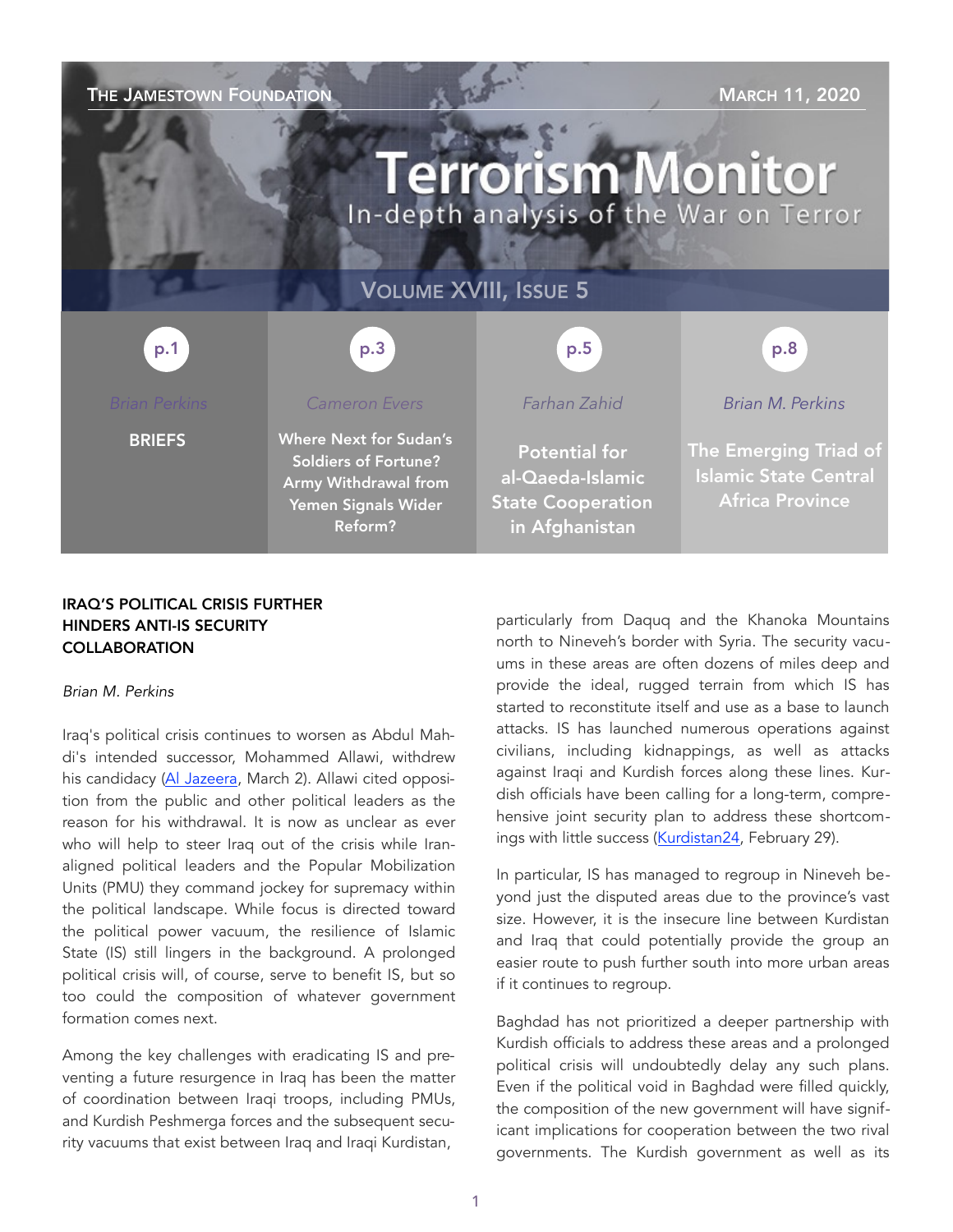### THE JAMESTOWN FOUNDATION **THE JAMESTOWN FOUNDATION**

# **Terrorism Monitor** In-depth analysis of the War on Terror

### VOLUME XVIII, ISSUE 5

p.3 p.1 p.1 p.3 p.3 p.3 p.5 p.5 p.8 p.8

*Cameron Evers* 

BRIEFS

Where Next for Sudan's Soldiers of Fortune? Army Withdrawal from Yemen Signals Wider

Reform?

### *Farhan Zahid*

Potential for al-Qaeda-Islamic State Cooperation in Afghanistan

*Brian M. Perkins* 

The Emerging Triad of Islamic State Central Africa Province

#### IRAQ'S POLITICAL CRISIS FURTHER HINDERS ANTI-IS SECURITY **COLLABORATION**

#### *Brian M. Perkins*

Iraq's political crisis continues to worsen as Abdul Mahdi's intended successor, Mohammed Allawi, withdrew his candidacy [\(Al Jazeera,](https://www.aljazeera.com/news/2020/03/uncertainty-looms-iraqi-pm-designate-allawi-steps-200302063000903.html) March 2). Allawi cited opposition from the public and other political leaders as the reason for his withdrawal. It is now as unclear as ever who will help to steer Iraq out of the crisis while Iranaligned political leaders and the Popular Mobilization Units (PMU) they command jockey for supremacy within the political landscape. While focus is directed toward the political power vacuum, the resilience of Islamic State (IS) still lingers in the background. A prolonged political crisis will, of course, serve to benefit IS, but so too could the composition of whatever government formation comes next.

Among the key challenges with eradicating IS and preventing a future resurgence in Iraq has been the matter of coordination between Iraqi troops, including PMUs, and Kurdish Peshmerga forces and the subsequent security vacuums that exist between Iraq and Iraqi Kurdistan,

particularly from Daquq and the Khanoka Mountains north to Nineveh's border with Syria. The security vacuums in these areas are often dozens of miles deep and provide the ideal, rugged terrain from which IS has started to reconstitute itself and use as a base to launch attacks. IS has launched numerous operations against civilians, including kidnappings, as well as attacks against Iraqi and Kurdish forces along these lines. Kurdish officials have been calling for a long-term, comprehensive joint security plan to address these shortcomings with little success ([Kurdistan24,](https://www.kurdistan24.net/en/news/816ce822-e5b7-41f9-ae79-ca642574fec8) February 29).

In particular, IS has managed to regroup in Nineveh beyond just the disputed areas due to the province's vast size. However, it is the insecure line between Kurdistan and Iraq that could potentially provide the group an easier route to push further south into more urban areas if it continues to regroup.

Baghdad has not prioritized a deeper partnership with Kurdish officials to address these areas and a prolonged political crisis will undoubtedly delay any such plans. Even if the political void in Baghdad were filled quickly, the composition of the new government will have significant implications for cooperation between the two rival governments. The Kurdish government as well as its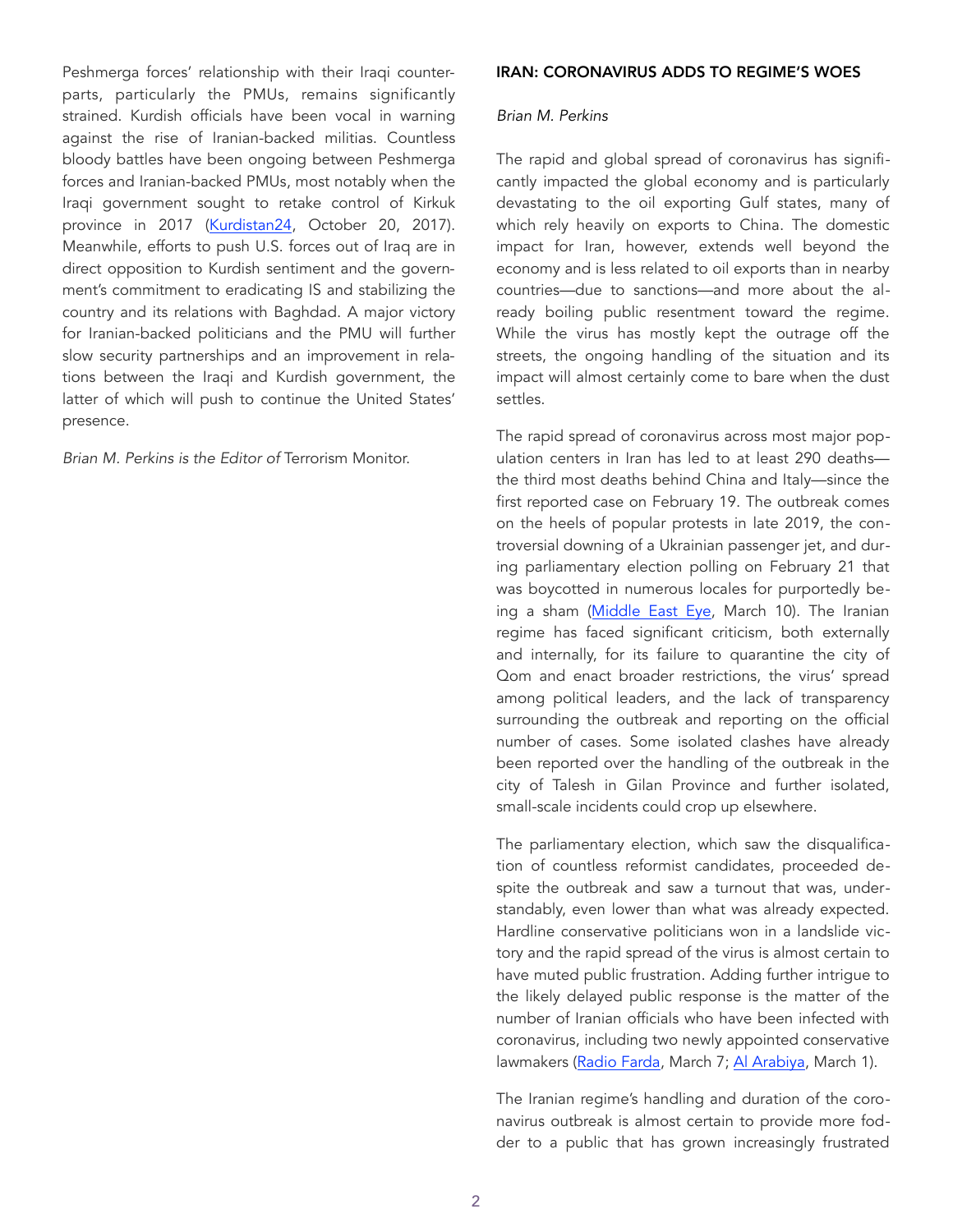Peshmerga forces' relationship with their Iraqi counterparts, particularly the PMUs, remains significantly strained. Kurdish officials have been vocal in warning against the rise of Iranian-backed militias. Countless bloody battles have been ongoing between Peshmerga forces and Iranian-backed PMUs, most notably when the Iraqi government sought to retake control of Kirkuk province in 2017 ([Kurdistan24,](https://www.kurdis) October 20, 2017). Meanwhile, efforts to push U.S. forces out of Iraq are in direct opposition to Kurdish sentiment and the government's commitment to eradicating IS and stabilizing the country and its relations with Baghdad. A major victory for Iranian-backed politicians and the PMU will further slow security partnerships and an improvement in relations between the Iraqi and Kurdish government, the latter of which will push to continue the United States' presence.

*Brian M. Perkins is the Editor of* Terrorism Monitor.

#### IRAN: CORONAVIRUS ADDS TO REGIME'S WOES

#### *Brian M. Perkins*

The rapid and global spread of coronavirus has significantly impacted the global economy and is particularly devastating to the oil exporting Gulf states, many of which rely heavily on exports to China. The domestic impact for Iran, however, extends well beyond the economy and is less related to oil exports than in nearby countries—due to sanctions—and more about the already boiling public resentment toward the regime. While the virus has mostly kept the outrage off the streets, the ongoing handling of the situation and its impact will almost certainly come to bare when the dust settles.

The rapid spread of coronavirus across most major population centers in Iran has led to at least 290 deaths the third most deaths behind China and Italy—since the first reported case on February 19. The outbreak comes on the heels of popular protests in late 2019, the controversial downing of a Ukrainian passenger jet, and during parliamentary election polling on February 21 that was boycotted in numerous locales for purportedly being a sham [\(Middle East Eye](https://www.middleeasteye.net/news/coronavirus-iran-reports-highest-one-day-death-toll), March 10). The Iranian regime has faced significant criticism, both externally and internally, for its failure to quarantine the city of Qom and enact broader restrictions, the virus' spread among political leaders, and the lack of transparency surrounding the outbreak and reporting on the official number of cases. Some isolated clashes have already been reported over the handling of the outbreak in the city of Talesh in Gilan Province and further isolated, small-scale incidents could crop up elsewhere.

The parliamentary election, which saw the disqualification of countless reformist candidates, proceeded despite the outbreak and saw a turnout that was, understandably, even lower than what was already expected. Hardline conservative politicians won in a landslide victory and the rapid spread of the virus is almost certain to have muted public frustration. Adding further intrigue to the likely delayed public response is the matter of the number of Iranian officials who have been infected with coronavirus, including two newly appointed conservative lawmakers ([Radio Farda,](https://en.radiofarda.com/a/second-newly-elected-l) March 7; [Al Arabiya,](https://english.alarabiya.net/en/News/middle-east/2020/03/01/Newly-elected-Iranian-MP-dies-of-flu-amid-coronavirus-outbreak.html) March 1).

The Iranian regime's handling and duration of the coronavirus outbreak is almost certain to provide more fodder to a public that has grown increasingly frustrated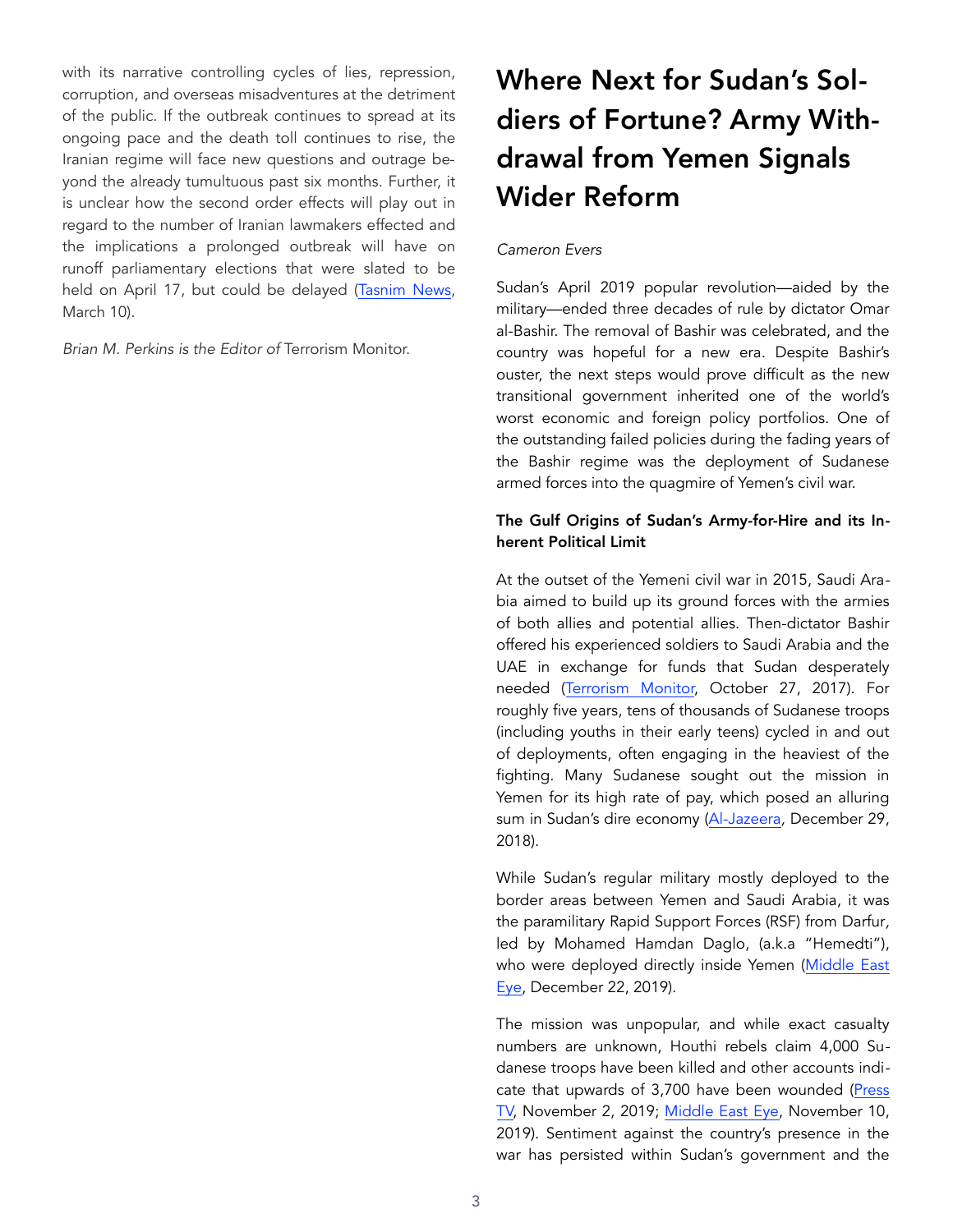with its narrative controlling cycles of lies, repression, corruption, and overseas misadventures at the detriment of the public. If the outbreak continues to spread at its ongoing pace and the death toll continues to rise, the Iranian regime will face new questions and outrage beyond the already tumultuous past six months. Further, it is unclear how the second order effects will play out in regard to the number of Iranian lawmakers effected and the implications a prolonged outbreak will have on runoff parliamentary elections that were slated to be held on April 17, but could be delayed [\(Tasnim News,](https://www) March 10).

*Brian M. Perkins is the Editor of* Terrorism Monitor.

# Where Next for Sudan's Soldiers of Fortune? Army Withdrawal from Yemen Signals Wider Reform

#### *Cameron Evers*

Sudan's April 2019 popular revolution—aided by the military—ended three decades of rule by dictator Omar al-Bashir. The removal of Bashir was celebrated, and the country was hopeful for a new era. Despite Bashir's ouster, the next steps would prove difficult as the new transitional government inherited one of the world's worst economic and foreign policy portfolios. One of the outstanding failed policies during the fading years of the Bashir regime was the deployment of Sudanese armed forces into the quagmire of Yemen's civil war.

#### The Gulf Origins of Sudan's Army-for-Hire and its Inherent Political Limit

At the outset of the Yemeni civil war in 2015, Saudi Arabia aimed to build up its ground forces with the armies of both allies and potential allies. Then-dictator Bashir offered his experienced soldiers to Saudi Arabia and the UAE in exchange for funds that Sudan desperately needed ([Terrorism Monitor,](https://jamestown.org/program/sudans-controversial-rapid-support-forces-bolsters-saudi-efforts-yemen/) October 27, 2017). For roughly five years, tens of thousands of Sudanese troops (including youths in their early teens) cycled in and out of deployments, often engaging in the heaviest of the fighting. Many Sudanese sought out the mission in Yemen for its high rate of pay, which posed an alluring sum in Sudan's dire economy ([Al-Jazeera](https://www.aljazeera.com/news/2018/12/saudi-arabia-recruited-darfur-children-fight-yemen-nyt-181229111259452.html)*,* December 29, 2018).

While Sudan's regular military mostly deployed to the border areas between Yemen and Saudi Arabia, it was the paramilitary Rapid Support Forces (RSF) from Darfur*,* led by Mohamed Hamdan Daglo, (a.k.a "Hemedti"), who were deployed directly inside Yemen (Middle East Eye, December 22, 2019).

The mission was unpopular, and while exact casualty numbers are unknown, Houthi rebels claim 4,000 Sudanese troops have been killed and other accounts indicate that upwards of 3,700 have been wounded (Press [TV,](https://www.presstv.com/Detail/2019/11/02/610223/Over-4000-Sudanese-militiamen-slain-in-Saudiled-war-on-Yemen-Army-spox) November 2, 2019; [Middle East Eye,](https://www.middleeasteye.net/news/thousands-saudi-paid-sudanese-mercenaries-die-frontline-yemen) November 10, 2019). Sentiment against the country's presence in the war has persisted within Sudan's government and the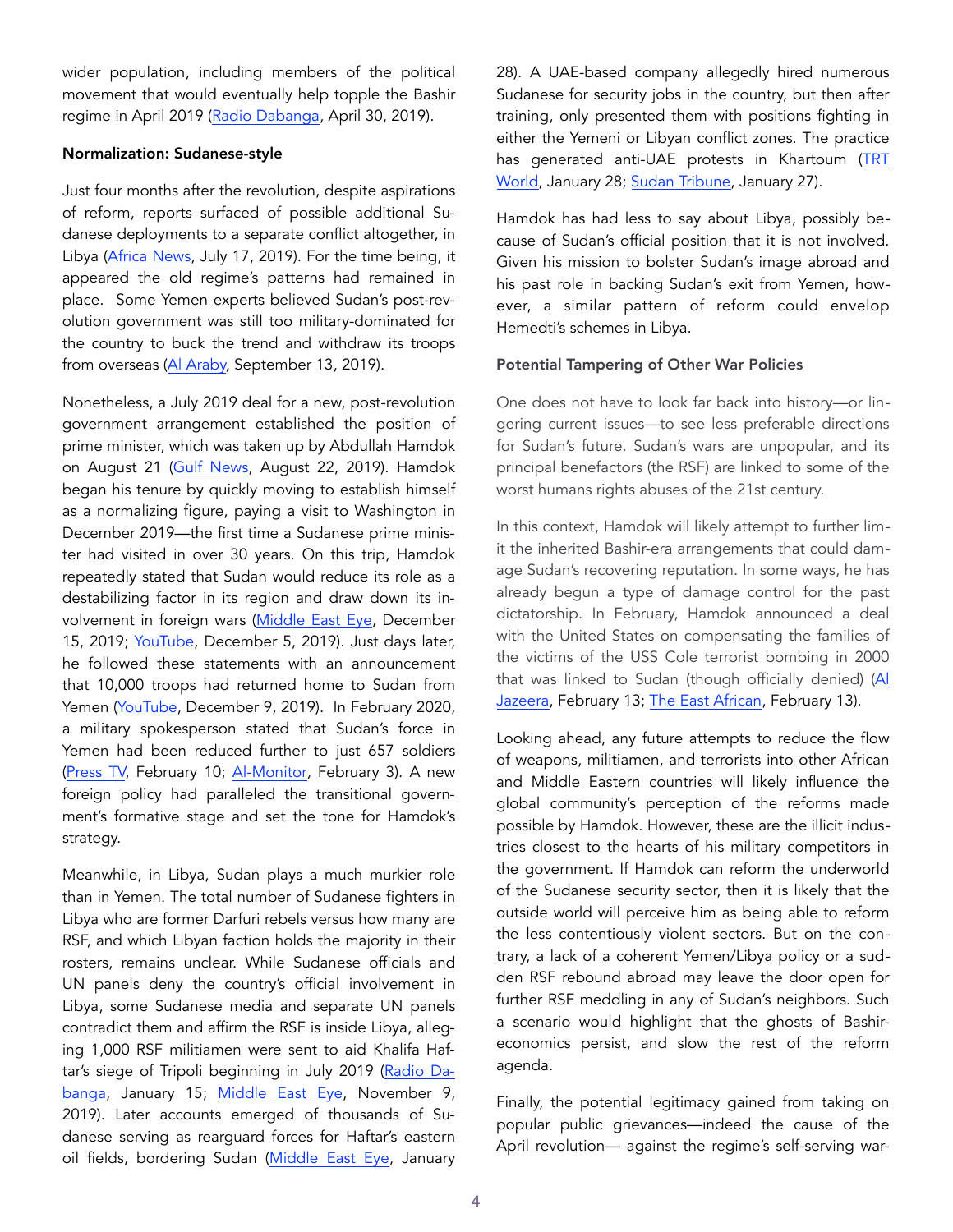wider population, including members of the political movement that would eventually help topple the Bashir regime in April 2019 [\(Radio Dabanga](https://www.dabangasudan.org/en/all-news/article/sudan-mps-call-on-president-to-withdraw-forces-from-), April 30, 2019).

#### Normalization: Sudanese-style

Just four months after the revolution, despite aspirations of reform, reports surfaced of possible additional Sudanese deployments to a separate conflict altogether, in Libya (Africa News, July 17, 2019). For the time being, it appeared the old regime's patterns had remained in place. Some Yemen experts believed Sudan's post-revolution government was still too military-dominated for the country to buck the trend and withdraw its troops from overseas ([Al Araby,](https://www.alaraby.co.uk/english/indepth/2019/9/14/yemen-in-focus-will-sudan-withdraw-from-saudi-led-coalition) September 13, 2019).

Nonetheless, a July 2019 deal for a new, post-revolution government arrangement established the position of prime minister, which was taken up by Abdullah Hamdok on August 21 [\(Gulf News,](https://gulfnews.com/world/mena/abdalla-hamdok-sworn-in-as-sudan-prime-minister-1.1566420695741) August 22, 2019). Hamdok began his tenure by quickly moving to establish himself as a normalizing figure, paying a visit to Washington in December 2019—the first time a Sudanese prime minister had visited in over 30 years. On this trip, Hamdok repeatedly stated that Sudan would reduce its role as a destabilizing factor in its region and draw down its involvement in foreign wars ([Middle East Eye](https://www.middleeasteye.net/news/sudans-hamdok-moves-against-terror-groups-during-us-visit-bid-end-sanctions), December 15, 2019; YouTube, December 5, 2019). Just days later, he followed these statements with an announcement that 10,000 troops had returned home to Sudan from Yemen ([YouTube,](https://www.youtube.com/watch?v=nSFon) December 9, 2019). In February 2020, a military spokesperson stated that Sudan's force in Yemen had been reduced further to just 657 soldiers ([Press TV,](https://www.presstv.com/Detail/2020/02/10/618299/www.presstv.ir) February 10; [Al-Monitor](https://www.al-monitor.com/pulse/originals/2020/01/yemen-sudan-pullout-troops-war-uae-saudi-arabia-coalition.html)*,* February 3). A new foreign policy had paralleled the transitional government's formative stage and set the tone for Hamdok's strategy.

Meanwhile, in Libya, Sudan plays a much murkier role than in Yemen. The total number of Sudanese fighters in Libya who are former Darfuri rebels versus how many are RSF, and which Libyan faction holds the majority in their rosters, remains unclear. While Sudanese officials and UN panels deny the country's official involvement in Libya, some Sudanese media and separate UN panels contradict them and affirm the RSF is inside Libya, alleging 1,000 RSF militiamen were sent to aid Khalifa Haftar's siege of Tripoli beginning in July 2019 [\(Radio Da](https://www.dabangasudan.org/en/all-news/article/sudan-s-rsf-militia-denies-involvement-in-libya)[banga](https://www.dabangasudan.org/en/all-news/article/sudan-s-rsf-militia-denies-involvement-in-libya), January 15; [Middle East Eye](https://www.middleeasteye.net/news/sudan-and-), November 9, 2019). Later accounts emerged of thousands of Sudanese serving as rearguard forces for Haftar's eastern oil fields, bordering Sudan [\(Middle East Eye](https://www.middleea), January

28). A UAE-based company allegedly hired numerous Sudanese for security jobs in the country, but then after training, only presented them with positions fighting in either the Yemeni or Libyan conflict zones. The practice has generated anti-UAE protests in Khartoum ([TRT](https://www.trtworld.com/africa/how-the-uae-is-coercing-young-sudanese-into-becoming-mercenaries-33294)  [World](https://www.trtworld.com/africa/how-the-uae-is-coercing-young-sudanese-into-becoming-mercenaries-33294), January 28; [Sudan Tribune,](https://www.sudantribune.com/spip.php?article68899) January 27).

Hamdok has had less to say about Libya, possibly because of Sudan's official position that it is not involved. Given his mission to bolster Sudan's image abroad and his past role in backing Sudan's exit from Yemen, however, a similar pattern of reform could envelop Hemedti's schemes in Libya.

#### Potential Tampering of Other War Policies

One does not have to look far back into history—or lingering current issues—to see less preferable directions for Sudan's future. Sudan's wars are unpopular, and its principal benefactors (the RSF) are linked to some of the worst humans rights abuses of the 21st century.

In this context, Hamdok will likely attempt to further limit the inherited Bashir-era arrangements that could damage Sudan's recovering reputation. In some ways, he has already begun a type of damage control for the past dictatorship. In February, Hamdok announced a deal with the United States on compensating the families of the victims of the USS Cole terrorist bombing in 2000 that was linked to Sudan (though officially denied) (Al [Jazeera,](https://www.aljazeera.com/news/2020/02/sudan-reaches-settlement-deal-families-uss-cole-victims-200213171724299.ht) February 13; [The East African,](https://www.theeastafrican.co.ke/news/africa/Sudan-signs-deal-USS-Cole-bombing/4552902-5454406-hv5a17/index.html) February 13).

Looking ahead, any future attempts to reduce the flow of weapons, militiamen, and terrorists into other African and Middle Eastern countries will likely influence the global community's perception of the reforms made possible by Hamdok. However, these are the illicit industries closest to the hearts of his military competitors in the government. If Hamdok can reform the underworld of the Sudanese security sector, then it is likely that the outside world will perceive him as being able to reform the less contentiously violent sectors. But on the contrary, a lack of a coherent Yemen/Libya policy or a sudden RSF rebound abroad may leave the door open for further RSF meddling in any of Sudan's neighbors. Such a scenario would highlight that the ghosts of Bashireconomics persist, and slow the rest of the reform agenda.

Finally, the potential legitimacy gained from taking on popular public grievances—indeed the cause of the April revolution— against the regime's self-serving war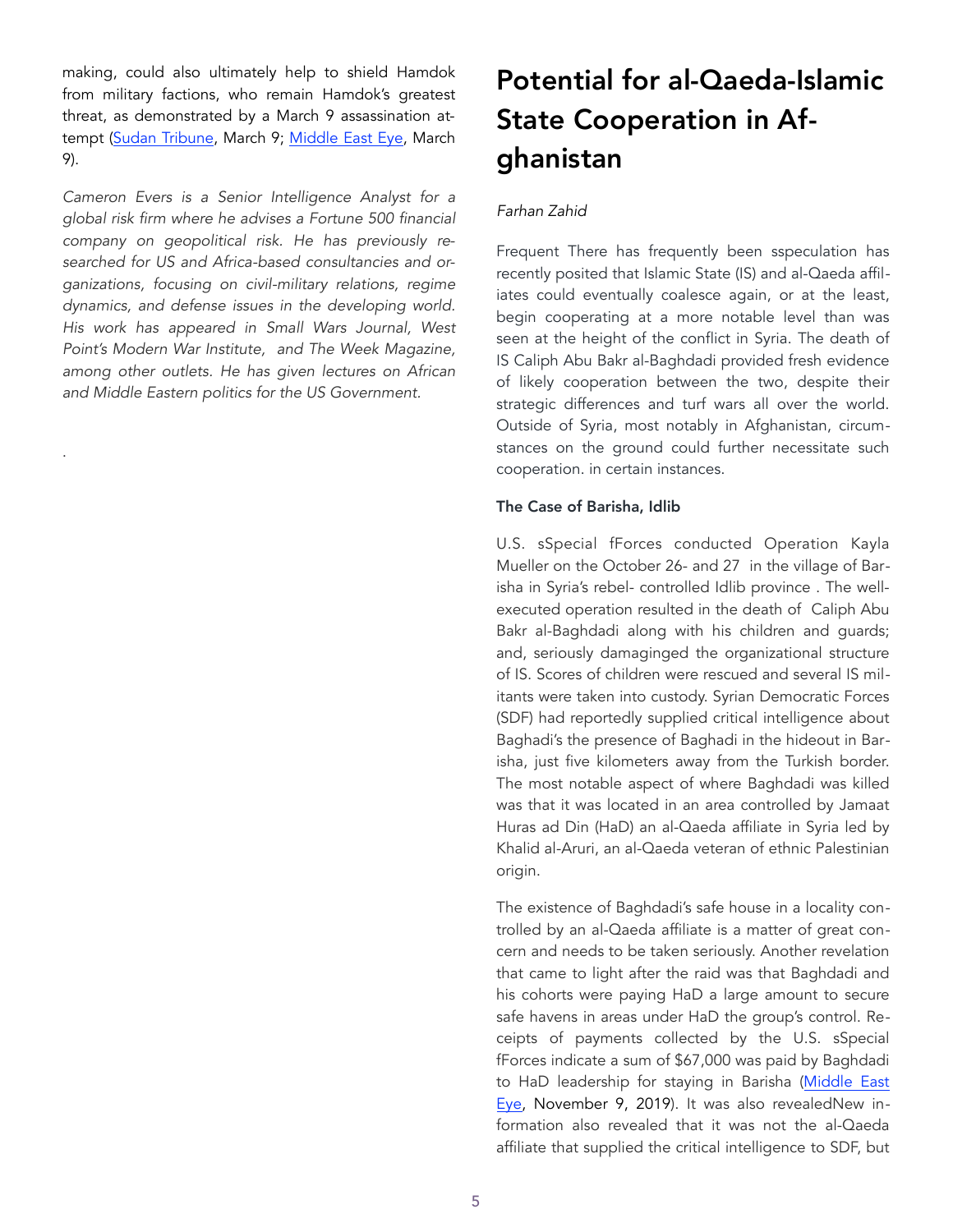making, could also ultimately help to shield Hamdok from military factions, who remain Hamdok's greatest threat, as demonstrated by a March 9 assassination attempt ([Sudan Tribune](https://www.sudantribune.com/spip.php?article69082), March 9; [Middle East Eye](https://www.middleea), March 9).

*Cameron Evers is a Senior Intelligence Analyst for a global risk firm where he advises a Fortune 500 financial company on geopolitical risk. He has previously researched for US and Africa-based consultancies and organizations, focusing on civil-military relations, regime dynamics, and defense issues in the developing world. His work has appeared in Small Wars Journal, West Point's Modern War Institute, and The Week Magazine, among other outlets. He has given lectures on African and Middle Eastern politics for the US Government.*

.

# Potential for al-Qaeda-Islamic State Cooperation in Afghanistan

#### *Farhan Zahid*

Frequent There has frequently been sspeculation has recently posited that Islamic State (IS) and al-Qaeda affiliates could eventually coalesce again, or at the least, begin cooperating at a more notable level than was seen at the height of the conflict in Syria. The death of IS Caliph Abu Bakr al-Baghdadi provided fresh evidence of likely cooperation between the two, despite their strategic differences and turf wars all over the world. Outside of Syria, most notably in Afghanistan, circumstances on the ground could further necessitate such cooperation. in certain instances.

#### The Case of Barisha, Idlib

U.S. sSpecial fForces conducted Operation Kayla Mueller on the October 26- and 27 in the village of Barisha in Syria's rebel- controlled Idlib province . The wellexecuted operation resulted in the death of Caliph Abu Bakr al-Baghdadi along with his children and guards; and, seriously damaginged the organizational structure of IS. Scores of children were rescued and several IS militants were taken into custody. Syrian Democratic Forces (SDF) had reportedly supplied critical intelligence about Baghadi's the presence of Baghadi in the hideout in Barisha, just five kilometers away from the Turkish border. The most notable aspect of where Baghdadi was killed was that it was located in an area controlled by Jamaat Huras ad Din (HaD) an al-Qaeda affiliate in Syria led by Khalid al-Aruri, an al-Qaeda veteran of ethnic Palestinian origin.

The existence of Baghdadi's safe house in a locality controlled by an al-Qaeda affiliate is a matter of great concern and needs to be taken seriously. Another revelation that came to light after the raid was that Baghdadi and his cohorts were paying HaD a large amount to secure safe havens in areas under HaD the group's control. Receipts of payments collected by the U.S. sSpecial fForces indicate a sum of \$67,000 was paid by Baghdadi to HaD leadership for staying in Barisha ([Middle East](https://www.middleeasteye.net/news/after-baghdadi-will-islamic-state-fighters-seek-return-al-qaeda-ranks)  [Eye,](https://www.middleeasteye.net/news/after-baghdadi-will-islamic-state-fighters-seek-return-al-qaeda-ranks) November 9, 2019). It was also revealedNew information also revealed that it was not the al-Qaeda affiliate that supplied the critical intelligence to SDF, but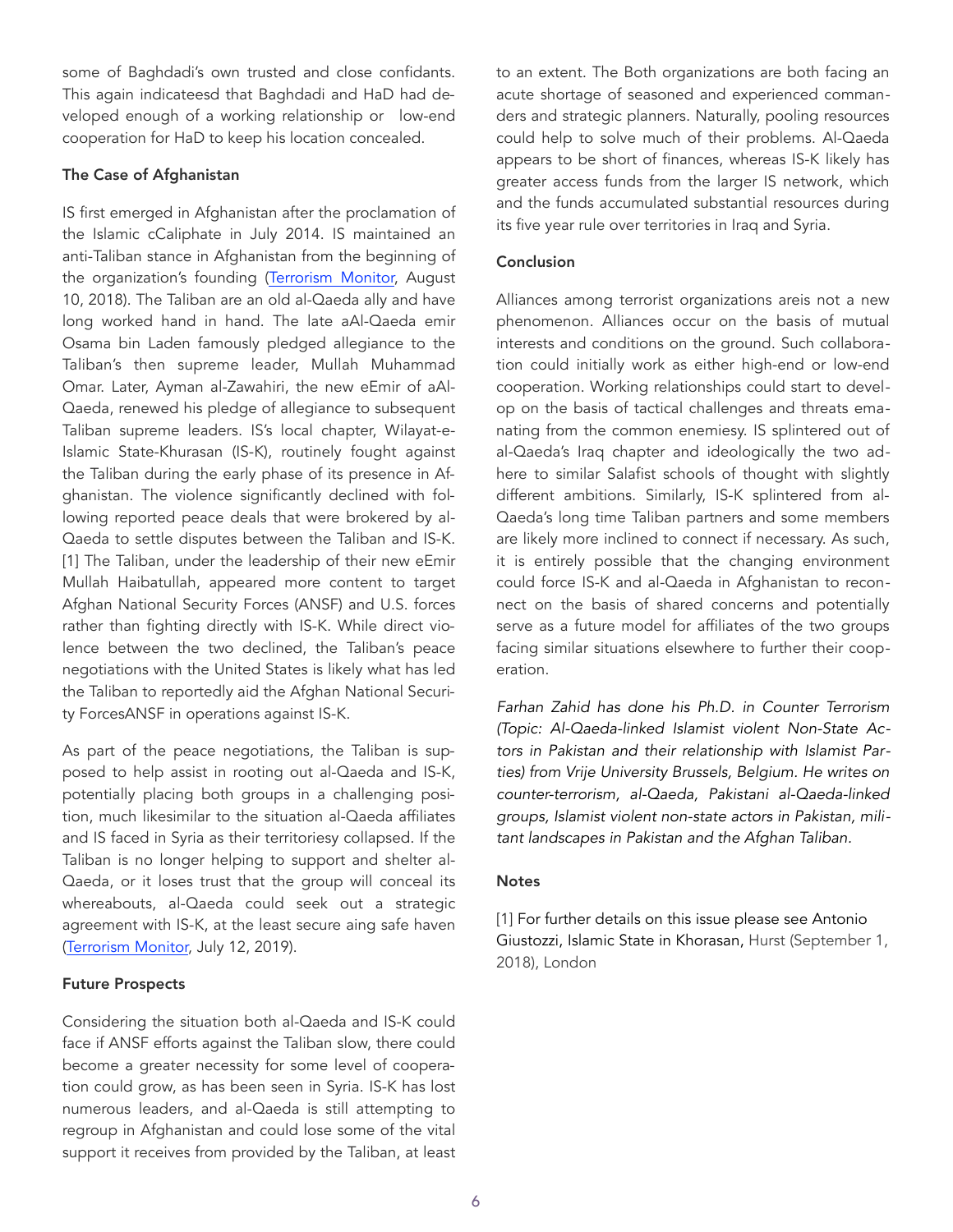some of Baghdadi's own trusted and close confidants. This again indicateesd that Baghdadi and HaD had developed enough of a working relationship or low-end cooperation for HaD to keep his location concealed.

#### The Case of Afghanistan

IS first emerged in Afghanistan after the proclamation of the Islamic cCaliphate in July 2014. IS maintained an anti-Taliban stance in Afghanistan from the beginning of the organization's founding ([Terrorism Monitor,](https://jamestown.org/program/the-taliban-takes-on-islamic-state-insurgents-vie-for-control-of-northern-afghanistan/) August 10, 2018). The Taliban are an old al-Qaeda ally and have long worked hand in hand. The late aAl-Qaeda emir Osama bin Laden famously pledged allegiance to the Taliban's then supreme leader, Mullah Muhammad Omar. Later, Ayman al-Zawahiri, the new eEmir of aAl-Qaeda, renewed his pledge of allegiance to subsequent Taliban supreme leaders. IS's local chapter, Wilayat-e-Islamic State-Khurasan (IS-K), routinely fought against the Taliban during the early phase of its presence in Afghanistan. The violence significantly declined with following reported peace deals that were brokered by al-Qaeda to settle disputes between the Taliban and IS-K. [1] The Taliban, under the leadership of their new eEmir Mullah Haibatullah, appeared more content to target Afghan National Security Forces (ANSF) and U.S. forces rather than fighting directly with IS-K. While direct violence between the two declined, the Taliban's peace negotiations with the United States is likely what has led the Taliban to reportedly aid the Afghan National Security ForcesANSF in operations against IS-K.

As part of the peace negotiations, the Taliban is supposed to help assist in rooting out al-Qaeda and IS-K, potentially placing both groups in a challenging position, much likesimilar to the situation al-Qaeda affiliates and IS faced in Syria as their territoriesy collapsed. If the Taliban is no longer helping to support and shelter al-Qaeda, or it loses trust that the group will conceal its whereabouts, al-Qaeda could seek out a strategic agreement with IS-K, at the least secure aing safe haven ([Terrorism Monitor,](https://jamestown.org/program/briefs-309/) July 12, 2019).

#### Future Prospects

Considering the situation both al-Qaeda and IS-K could face if ANSF efforts against the Taliban slow, there could become a greater necessity for some level of cooperation could grow, as has been seen in Syria. IS-K has lost numerous leaders, and al-Qaeda is still attempting to regroup in Afghanistan and could lose some of the vital support it receives from provided by the Taliban, at least to an extent. The Both organizations are both facing an acute shortage of seasoned and experienced commanders and strategic planners. Naturally, pooling resources could help to solve much of their problems. Al-Qaeda appears to be short of finances, whereas IS-K likely has greater access funds from the larger IS network, which and the funds accumulated substantial resources during its five year rule over territories in Iraq and Syria.

#### **Conclusion**

Alliances among terrorist organizations areis not a new phenomenon. Alliances occur on the basis of mutual interests and conditions on the ground. Such collaboration could initially work as either high-end or low-end cooperation. Working relationships could start to develop on the basis of tactical challenges and threats emanating from the common enemiesy. IS splintered out of al-Qaeda's Iraq chapter and ideologically the two adhere to similar Salafist schools of thought with slightly different ambitions. Similarly, IS-K splintered from al-Qaeda's long time Taliban partners and some members are likely more inclined to connect if necessary. As such, it is entirely possible that the changing environment could force IS-K and al-Qaeda in Afghanistan to reconnect on the basis of shared concerns and potentially serve as a future model for affiliates of the two groups facing similar situations elsewhere to further their cooperation.

*Farhan Zahid has done his Ph.D. in Counter Terrorism (Topic: Al-Qaeda-linked Islamist violent Non-State Actors in Pakistan and their relationship with Islamist Parties) from Vrije University Brussels, Belgium. He writes on counter-terrorism, al-Qaeda, Pakistani al-Qaeda-linked groups, Islamist violent non-state actors in Pakistan, militant landscapes in Pakistan and the Afghan Taliban.* 

### **Notes**

[1] For further details on this issue please see Antonio Giustozzi, Islamic State in Khorasan, Hurst (September 1, 2018), London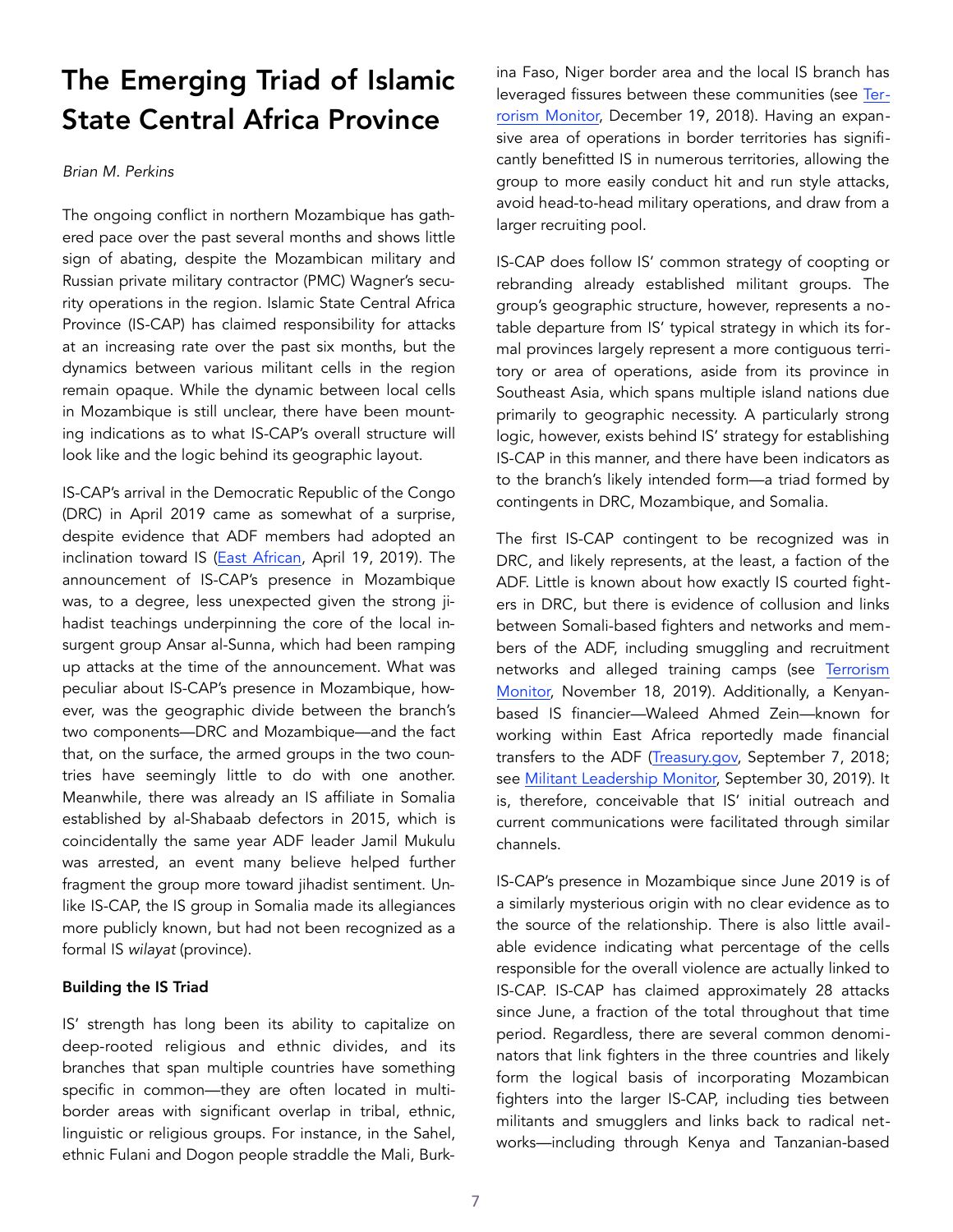## The Emerging Triad of Islamic State Central Africa Province

#### *Brian M. Perkins*

The ongoing conflict in northern Mozambique has gathered pace over the past several months and shows little sign of abating, despite the Mozambican military and Russian private military contractor (PMC) Wagner's security operations in the region. Islamic State Central Africa Province (IS-CAP) has claimed responsibility for attacks at an increasing rate over the past six months, but the dynamics between various militant cells in the region remain opaque. While the dynamic between local cells in Mozambique is still unclear, there have been mounting indications as to what IS-CAP's overall structure will look like and the logic behind its geographic layout.

IS-CAP's arrival in the Democratic Republic of the Congo (DRC) in April 2019 came as somewhat of a surprise, despite evidence that ADF members had adopted an inclination toward IS ([East African,](https://www.theeastafrican.co.ke/news/africa/Islamic-State-claims-its-first-Congo-attack/4552902-5078826-r8por/index.html) April 19, 2019). The announcement of IS-CAP's presence in Mozambique was, to a degree, less unexpected given the strong jihadist teachings underpinning the core of the local insurgent group Ansar al-Sunna, which had been ramping up attacks at the time of the announcement. What was peculiar about IS-CAP's presence in Mozambique, however, was the geographic divide between the branch's two components—DRC and Mozambique—and the fact that, on the surface, the armed groups in the two countries have seemingly little to do with one another. Meanwhile, there was already an IS affiliate in Somalia established by al-Shabaab defectors in 2015, which is coincidentally the same year ADF leader Jamil Mukulu was arrested, an event many believe helped further fragment the group more toward jihadist sentiment. Unlike IS-CAP, the IS group in Somalia made its allegiances more publicly known, but had not been recognized as a formal IS *wilayat* (province).

#### Building the IS Triad

IS' strength has long been its ability to capitalize on deep-rooted religious and ethnic divides, and its branches that span multiple countries have something specific in common—they are often located in multiborder areas with significant overlap in tribal, ethnic, linguistic or religious groups. For instance, in the Sahel, ethnic Fulani and Dogon people straddle the Mali, Burkina Faso, Niger border area and the local IS branch has leveraged fissures between these communities (see [Ter](https://jamestown.org/program/burkina-faso-and-the-looming-jihadist-threat-to-coastal-)[rorism Monitor,](https://jamestown.org/program/burkina-faso-and-the-looming-jihadist-threat-to-coastal-) December 19, 2018). Having an expansive area of operations in border territories has significantly benefitted IS in numerous territories, allowing the group to more easily conduct hit and run style attacks, avoid head-to-head military operations, and draw from a larger recruiting pool.

IS-CAP does follow IS' common strategy of coopting or rebranding already established militant groups. The group's geographic structure, however, represents a notable departure from IS' typical strategy in which its formal provinces largely represent a more contiguous territory or area of operations, aside from its province in Southeast Asia, which spans multiple island nations due primarily to geographic necessity. A particularly strong logic, however, exists behind IS' strategy for establishing IS-CAP in this manner, and there have been indicators as to the branch's likely intended form—a triad formed by contingents in DRC, Mozambique, and Somalia.

The first IS-CAP contingent to be recognized was in DRC, and likely represents, at the least, a faction of the ADF. Little is known about how exactly IS courted fighters in DRC, but there is evidence of collusion and links between Somali-based fighters and networks and members of the ADF, including smuggling and recruitment networks and alleged training camps (see [Terrorism](https://jamestown.org/program/the-cross-pollination-of-east-africas-armed-groups/)  [Monitor,](https://jamestown.org/program/the-cross-pollination-of-east-africas-armed-groups/) November 18, 2019). Additionally, a Kenyanbased IS financier—Waleed Ahmed Zein—known for working within East Africa reportedly made financial transfers to the ADF [\(Treasury.gov,](https://home.treasury.gov/news/press-releases/sm476) September 7, 2018; see [Militant Leadership Monitor,](https://jamestown.org/program/waleed-ahmed-zein-the-da) September 30, 2019). It is, therefore, conceivable that IS' initial outreach and current communications were facilitated through similar channels.

IS-CAP's presence in Mozambique since June 2019 is of a similarly mysterious origin with no clear evidence as to the source of the relationship. There is also little available evidence indicating what percentage of the cells responsible for the overall violence are actually linked to IS-CAP. IS-CAP has claimed approximately 28 attacks since June, a fraction of the total throughout that time period. Regardless, there are several common denominators that link fighters in the three countries and likely form the logical basis of incorporating Mozambican fighters into the larger IS-CAP, including ties between militants and smugglers and links back to radical networks—including through Kenya and Tanzanian-based